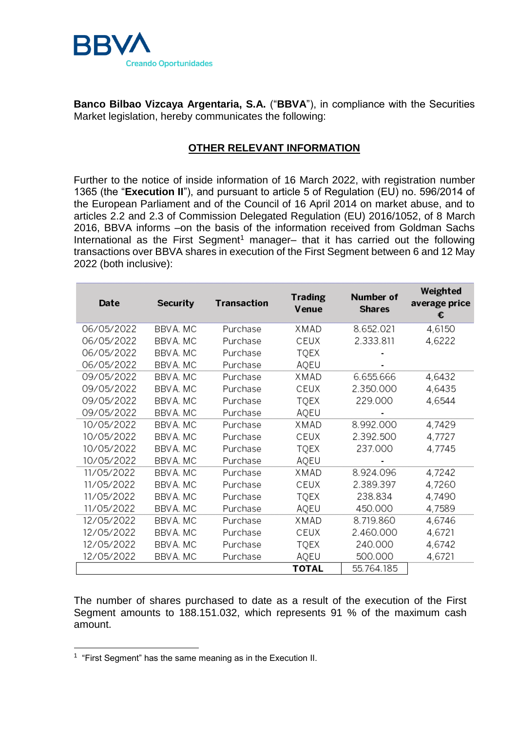

**Banco Bilbao Vizcaya Argentaria, S.A.** ("**BBVA**"), in compliance with the Securities Market legislation, hereby communicates the following:

## **OTHER RELEVANT INFORMATION**

Further to the notice of inside information of 16 March 2022, with registration number 1365 (the "**Execution II**"), and pursuant to article 5 of Regulation (EU) no. 596/2014 of the European Parliament and of the Council of 16 April 2014 on market abuse, and to articles 2.2 and 2.3 of Commission Delegated Regulation (EU) 2016/1052, of 8 March 2016, BBVA informs –on the basis of the information received from Goldman Sachs International as the First Segment<sup>1</sup> manager– that it has carried out the following transactions over BBVA shares in execution of the First Segment between 6 and 12 May 2022 (both inclusive):

| Date       | Security  | <b>Transaction</b> | <b>Trading</b><br>Venue | Number of<br><b>Shares</b> | Weighted<br>average price<br>€ |
|------------|-----------|--------------------|-------------------------|----------------------------|--------------------------------|
| 06/05/2022 | BBVA, MC  | Purchase           | XMAD                    | 8.652.021                  | 4,6150                         |
| 06/05/2022 | BBVA. MC  | Purchase           | CEUX                    | 2.333.811                  | 4,6222                         |
| 06/05/2022 | BBV A. MC | Purchase           | TQEX                    |                            |                                |
| 06/05/2022 | BBVA. MC  | Purchase           | AQEU                    |                            |                                |
| 09/05/2022 | BBV A. MC | Purchase           | XMAD                    | 6.655.666                  | 4,6432                         |
| 09/05/2022 | BBV A. MC | Purchase           | CEUX                    | 2.350.000                  | 4,6435                         |
| 09/05/2022 | BBVA. MC  | Purchase           | <b>TQEX</b>             | 229.000                    | 4,6544                         |
| 09/05/2022 | BBVA. MC  | Purchase           | AQEU                    |                            |                                |
| 10/05/2022 | BBV A. MC | Purchase           | XMAD                    | 8.992.000                  | 4,7429                         |
| 10/05/2022 | BBVA. MC  | Purchase           | CEUX                    | 2.392.500                  | 4,7727                         |
| 10/05/2022 | BBVA. MC  | Purchase           | TQEX                    | 237.000                    | 4,7745                         |
| 10/05/2022 | BBV A. MC | Purchase           | AQEU                    |                            |                                |
| 11/05/2022 | BBV A. MC | Purchase           | XMAD                    | 8.924.096                  | 4,7242                         |
| 11/05/2022 | BBV A. MC | Purchase           | CEUX                    | 2.389.397                  | 4,7260                         |
| 11/05/2022 | BBVA. MC  | Purchase           | <b>TQEX</b>             | 238.834                    | 4,7490                         |
| 11/05/2022 | BBVA. MC  | Purchase           | AQEU                    | 450.000                    | 4,7589                         |
| 12/05/2022 | BBVA. MC  | Purchase           | XMAD                    | 8.719.860                  | 4,6746                         |
| 12/05/2022 | BBVA. MC  | Purchase           | CEUX                    | 2.460.000                  | 4,6721                         |
| 12/05/2022 | BBVA, MC  | Purchase           | TQEX                    | 240.000                    | 4,6742                         |
| 12/05/2022 | BBV A. MC | Purchase           | AQEU                    | 500.000                    | 4,6721                         |
|            |           |                    | TOTAL                   | 55.764.185                 |                                |

The number of shares purchased to date as a result of the execution of the First Segment amounts to 188.151.032, which represents 91 % of the maximum cash amount.

-

<sup>&</sup>lt;sup>1</sup> "First Segment" has the same meaning as in the Execution II.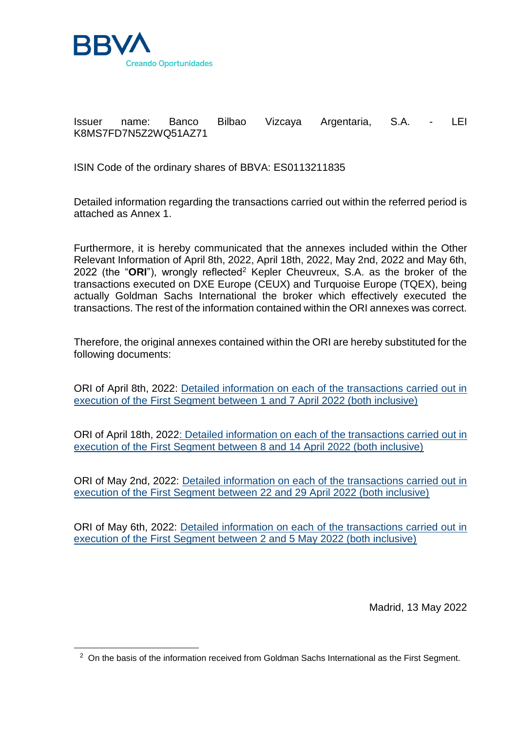

-

Issuer name: Banco Bilbao Vizcaya Argentaria, S.A. - LEI K8MS7FD7N5Z2WQ51AZ71

ISIN Code of the ordinary shares of BBVA: ES0113211835

Detailed information regarding the transactions carried out within the referred period is attached as Annex 1.

Furthermore, it is hereby communicated that the annexes included within the Other Relevant Information of April 8th, 2022, April 18th, 2022, May 2nd, 2022 and May 6th, 2022 (the "ORI"), wrongly reflected<sup>2</sup> Kepler Cheuvreux, S.A. as the broker of the transactions executed on DXE Europe (CEUX) and Turquoise Europe (TQEX), being actually Goldman Sachs International the broker which effectively executed the transactions. The rest of the information contained within the ORI annexes was correct.

Therefore, the original annexes contained within the ORI are hereby substituted for the following documents:

ORI of April 8th, 2022: [Detailed information on each of the transactions carried out in](https://shareholdersandinvestors.bbva.com/wp-content/uploads/2022/05/Reporte-Transaccional-01_07-abril_doc2_ENG.pdf)  [execution of the First Segment between 1 and 7 April 2022 \(both inclusive\)](https://shareholdersandinvestors.bbva.com/wp-content/uploads/2022/05/Reporte-Transaccional-01_07-abril_doc2_ENG.pdf)

ORI of April 18th, 2022: Detailed [information on each of the transactions carried out in](https://shareholdersandinvestors.bbva.com/wp-content/uploads/2022/05/Reporte-Transaccional-08_14-abril_doc2_ENG.pdf)  [execution of the First Segment between 8 and 14 April 2022 \(both inclusive\)](https://shareholdersandinvestors.bbva.com/wp-content/uploads/2022/05/Reporte-Transaccional-08_14-abril_doc2_ENG.pdf)

ORI of May 2nd, 2022: [Detailed information on each of the transactions carried out in](https://shareholdersandinvestors.bbva.com/wp-content/uploads/2022/05/Reporte-Transaccional-22_29-abril_doc2_ENG.pdf)  [execution of the First Segment between 22 and 29 April 2022 \(both inclusive\)](https://shareholdersandinvestors.bbva.com/wp-content/uploads/2022/05/Reporte-Transaccional-22_29-abril_doc2_ENG.pdf)

ORI of May 6th, 2022: [Detailed information on each of the transactions carried out in](https://shareholdersandinvestors.bbva.com/wp-content/uploads/2022/05/Reporte-Transaccional-02_05-mayo_doc2_ENG.pdf)  [execution of the First Segment between 2 and 5 May 2022 \(both inclusive\)](https://shareholdersandinvestors.bbva.com/wp-content/uploads/2022/05/Reporte-Transaccional-02_05-mayo_doc2_ENG.pdf)

Madrid, 13 May 2022

 $2$  On the basis of the information received from Goldman Sachs International as the First Segment.